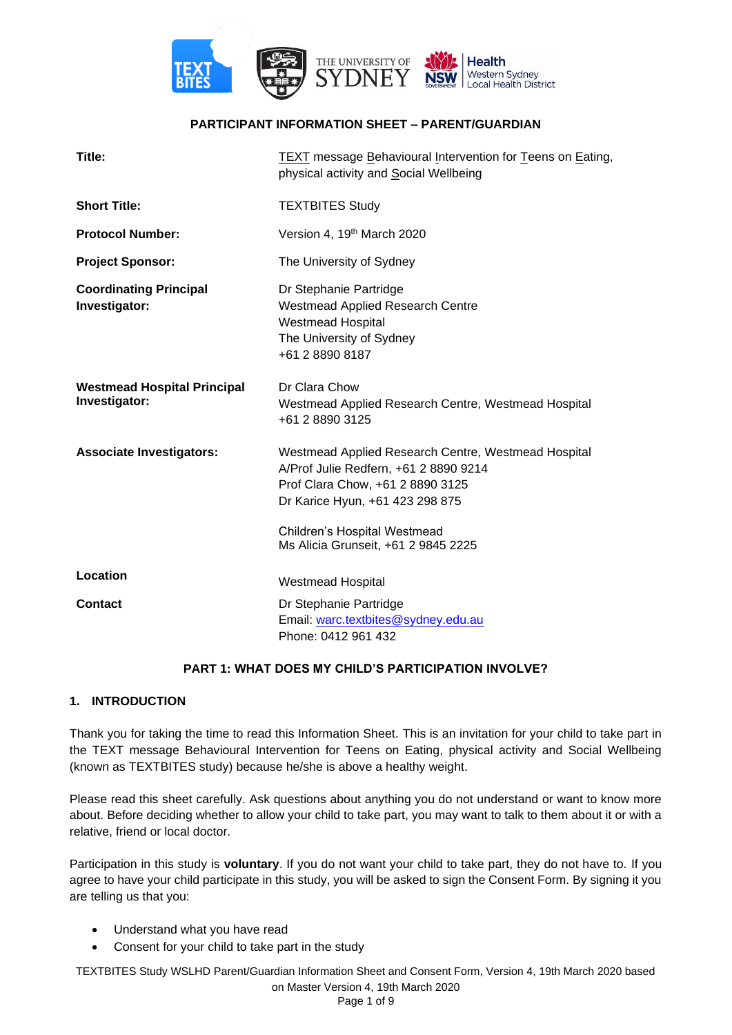

## **PARTICIPANT INFORMATION SHEET – PARENT/GUARDIAN**

| Title:                                              | TEXT message Behavioural Intervention for Teens on Eating,<br>physical activity and Social Wellbeing                                                                                                                                       |
|-----------------------------------------------------|--------------------------------------------------------------------------------------------------------------------------------------------------------------------------------------------------------------------------------------------|
| <b>Short Title:</b>                                 | <b>TEXTBITES Study</b>                                                                                                                                                                                                                     |
| <b>Protocol Number:</b>                             | Version 4, 19 <sup>th</sup> March 2020                                                                                                                                                                                                     |
| <b>Project Sponsor:</b>                             | The University of Sydney                                                                                                                                                                                                                   |
| <b>Coordinating Principal</b><br>Investigator:      | Dr Stephanie Partridge<br><b>Westmead Applied Research Centre</b><br><b>Westmead Hospital</b><br>The University of Sydney<br>+61 2 8890 8187                                                                                               |
| <b>Westmead Hospital Principal</b><br>Investigator: | Dr Clara Chow<br>Westmead Applied Research Centre, Westmead Hospital<br>+61 2 8890 3125                                                                                                                                                    |
| <b>Associate Investigators:</b>                     | Westmead Applied Research Centre, Westmead Hospital<br>A/Prof Julie Redfern, +61 2 8890 9214<br>Prof Clara Chow, +61 2 8890 3125<br>Dr Karice Hyun, +61 423 298 875<br>Children's Hospital Westmead<br>Ms Alicia Grunseit, +61 2 9845 2225 |
|                                                     |                                                                                                                                                                                                                                            |
| Location                                            | <b>Westmead Hospital</b>                                                                                                                                                                                                                   |
| <b>Contact</b>                                      | Dr Stephanie Partridge<br>Email: warc.textbites@sydney.edu.au<br>Phone: 0412 961 432                                                                                                                                                       |

## **PART 1: WHAT DOES MY CHILD'S PARTICIPATION INVOLVE?**

## **1. INTRODUCTION**

Thank you for taking the time to read this Information Sheet. This is an invitation for your child to take part in the TEXT message Behavioural Intervention for Teens on Eating, physical activity and Social Wellbeing (known as TEXTBITES study) because he/she is above a healthy weight.

Please read this sheet carefully. Ask questions about anything you do not understand or want to know more about. Before deciding whether to allow your child to take part, you may want to talk to them about it or with a relative, friend or local doctor.

Participation in this study is **voluntary**. If you do not want your child to take part, they do not have to. If you agree to have your child participate in this study, you will be asked to sign the Consent Form. By signing it you are telling us that you:

- Understand what you have read
- Consent for your child to take part in the study

TEXTBITES Study WSLHD Parent/Guardian Information Sheet and Consent Form, Version 4, 19th March 2020 based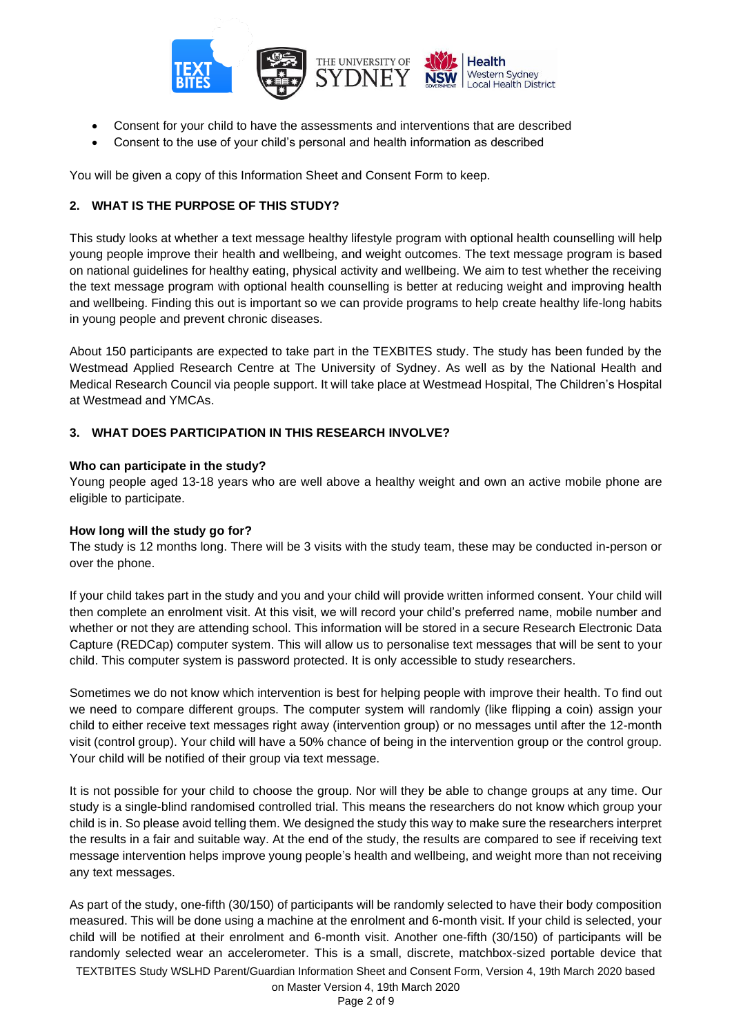

- Consent for your child to have the assessments and interventions that are described
- Consent to the use of your child's personal and health information as described

You will be given a copy of this Information Sheet and Consent Form to keep.

# **2. WHAT IS THE PURPOSE OF THIS STUDY?**

This study looks at whether a text message healthy lifestyle program with optional health counselling will help young people improve their health and wellbeing, and weight outcomes. The text message program is based on national guidelines for healthy eating, physical activity and wellbeing. We aim to test whether the receiving the text message program with optional health counselling is better at reducing weight and improving health and wellbeing. Finding this out is important so we can provide programs to help create healthy life-long habits in young people and prevent chronic diseases.

About 150 participants are expected to take part in the TEXBITES study. The study has been funded by the Westmead Applied Research Centre at The University of Sydney. As well as by the National Health and Medical Research Council via people support. It will take place at Westmead Hospital, The Children's Hospital at Westmead and YMCAs.

## **3. WHAT DOES PARTICIPATION IN THIS RESEARCH INVOLVE?**

## **Who can participate in the study?**

Young people aged 13-18 years who are well above a healthy weight and own an active mobile phone are eligible to participate.

## **How long will the study go for?**

The study is 12 months long. There will be 3 visits with the study team, these may be conducted in-person or over the phone.

If your child takes part in the study and you and your child will provide written informed consent. Your child will then complete an enrolment visit. At this visit, we will record your child's preferred name, mobile number and whether or not they are attending school. This information will be stored in a secure Research Electronic Data Capture (REDCap) computer system. This will allow us to personalise text messages that will be sent to your child. This computer system is password protected. It is only accessible to study researchers.

Sometimes we do not know which intervention is best for helping people with improve their health. To find out we need to compare different groups. The computer system will randomly (like flipping a coin) assign your child to either receive text messages right away (intervention group) or no messages until after the 12-month visit (control group). Your child will have a 50% chance of being in the intervention group or the control group. Your child will be notified of their group via text message.

It is not possible for your child to choose the group. Nor will they be able to change groups at any time. Our study is a single-blind randomised controlled trial. This means the researchers do not know which group your child is in. So please avoid telling them. We designed the study this way to make sure the researchers interpret the results in a fair and suitable way. At the end of the study, the results are compared to see if receiving text message intervention helps improve young people's health and wellbeing, and weight more than not receiving any text messages.

TEXTBITES Study WSLHD Parent/Guardian Information Sheet and Consent Form, Version 4, 19th March 2020 based As part of the study, one-fifth (30/150) of participants will be randomly selected to have their body composition measured. This will be done using a machine at the enrolment and 6-month visit. If your child is selected, your child will be notified at their enrolment and 6-month visit. Another one-fifth (30/150) of participants will be randomly selected wear an accelerometer. This is a small, discrete, matchbox-sized portable device that

on Master Version 4, 19th March 2020

Page 2 of 9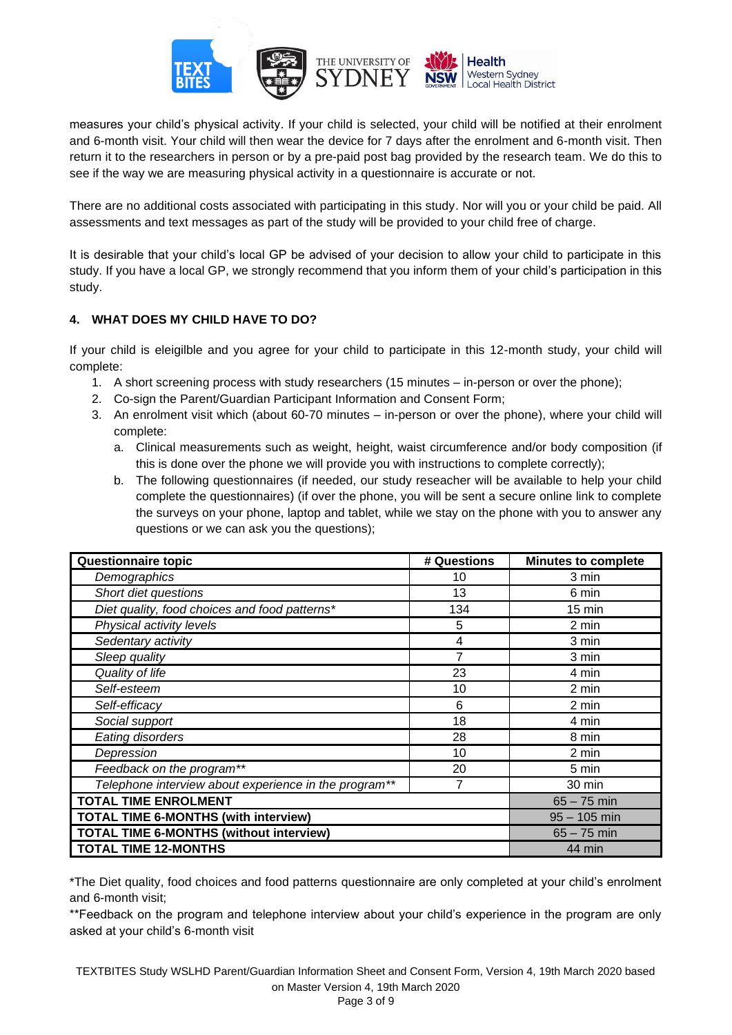

measures your child's physical activity. If your child is selected, your child will be notified at their enrolment and 6-month visit. Your child will then wear the device for 7 days after the enrolment and 6-month visit. Then return it to the researchers in person or by a pre-paid post bag provided by the research team. We do this to see if the way we are measuring physical activity in a questionnaire is accurate or not.

There are no additional costs associated with participating in this study. Nor will you or your child be paid. All assessments and text messages as part of the study will be provided to your child free of charge.

It is desirable that your child's local GP be advised of your decision to allow your child to participate in this study. If you have a local GP, we strongly recommend that you inform them of your child's participation in this study.

# **4. WHAT DOES MY CHILD HAVE TO DO?**

If your child is eleigilble and you agree for your child to participate in this 12-month study, your child will complete:

- 1. A short screening process with study researchers (15 minutes in-person or over the phone);
- 2. Co-sign the Parent/Guardian Participant Information and Consent Form;
- 3. An enrolment visit which (about 60-70 minutes in-person or over the phone), where your child will complete:
	- a. Clinical measurements such as weight, height, waist circumference and/or body composition (if this is done over the phone we will provide you with instructions to complete correctly);
	- b. The following questionnaires (if needed, our study reseacher will be available to help your child complete the questionnaires) (if over the phone, you will be sent a secure online link to complete the surveys on your phone, laptop and tablet, while we stay on the phone with you to answer any questions or we can ask you the questions);

| Questionnaire topic                                   | # Questions | <b>Minutes to complete</b> |
|-------------------------------------------------------|-------------|----------------------------|
| Demographics                                          | 10          | 3 min                      |
| Short diet questions                                  | 13          | 6 min                      |
| Diet quality, food choices and food patterns*         | 134         | $15 \text{ min}$           |
| Physical activity levels                              | 5           | 2 min                      |
| Sedentary activity                                    | 4           | 3 min                      |
| Sleep quality                                         | 7           | 3 min                      |
| Quality of life                                       | 23          | 4 min                      |
| Self-esteem                                           | 10          | 2 min                      |
| Self-efficacy                                         | 6           | 2 min                      |
| Social support                                        | 18          | 4 min                      |
| Eating disorders                                      | 28          | 8 min                      |
| Depression                                            | 10          | 2 min                      |
| Feedback on the program**                             | 20          | 5 min                      |
| Telephone interview about experience in the program** | 7           | 30 min                     |
| <b>TOTAL TIME ENROLMENT</b>                           |             | $65 - 75$ min              |
| <b>TOTAL TIME 6-MONTHS (with interview)</b>           |             | $95 - 105$ min             |
| <b>TOTAL TIME 6-MONTHS (without interview)</b>        |             | $65 - 75$ min              |
| <b>TOTAL TIME 12-MONTHS</b>                           |             | 44 min                     |

\*The Diet quality, food choices and food patterns questionnaire are only completed at your child's enrolment and 6-month visit;

\*\*Feedback on the program and telephone interview about your child's experience in the program are only asked at your child's 6-month visit

TEXTBITES Study WSLHD Parent/Guardian Information Sheet and Consent Form, Version 4, 19th March 2020 based on Master Version 4, 19th March 2020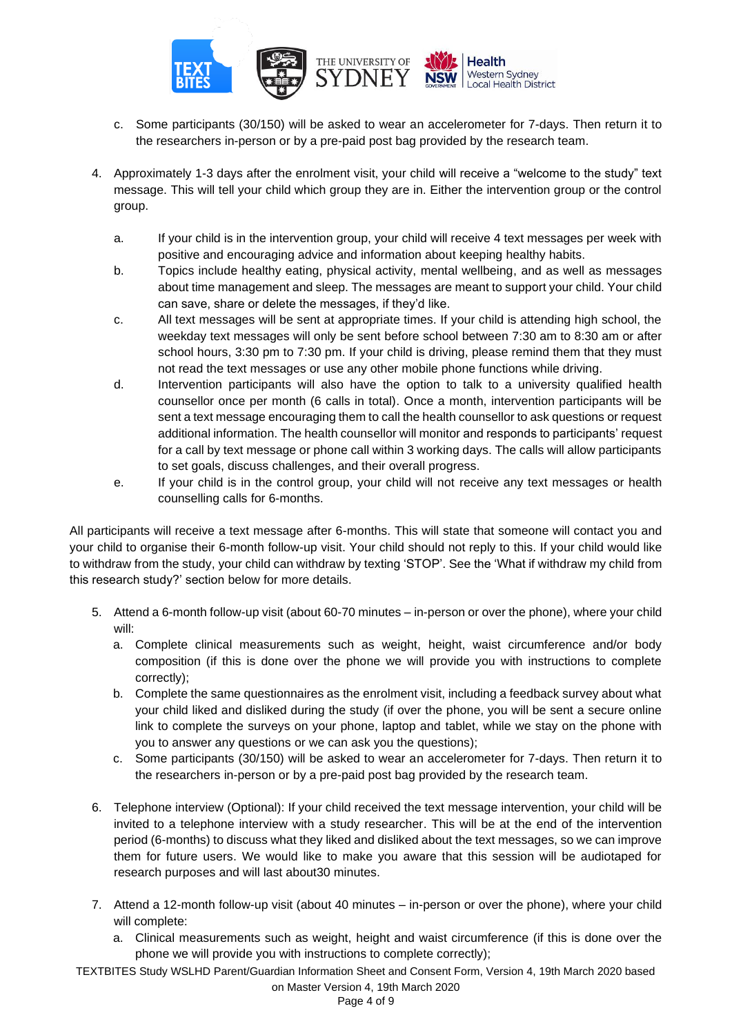

- c. Some participants (30/150) will be asked to wear an accelerometer for 7-days. Then return it to the researchers in-person or by a pre-paid post bag provided by the research team.
- 4. Approximately 1-3 days after the enrolment visit, your child will receive a "welcome to the study" text message. This will tell your child which group they are in. Either the intervention group or the control group.
	- a. If your child is in the intervention group, your child will receive 4 text messages per week with positive and encouraging advice and information about keeping healthy habits.
	- b. Topics include healthy eating, physical activity, mental wellbeing, and as well as messages about time management and sleep. The messages are meant to support your child. Your child can save, share or delete the messages, if they'd like.
	- c. All text messages will be sent at appropriate times. If your child is attending high school, the weekday text messages will only be sent before school between 7:30 am to 8:30 am or after school hours, 3:30 pm to 7:30 pm. If your child is driving, please remind them that they must not read the text messages or use any other mobile phone functions while driving.
	- d. Intervention participants will also have the option to talk to a university qualified health counsellor once per month (6 calls in total). Once a month, intervention participants will be sent a text message encouraging them to call the health counsellor to ask questions or request additional information. The health counsellor will monitor and responds to participants' request for a call by text message or phone call within 3 working days. The calls will allow participants to set goals, discuss challenges, and their overall progress.
	- e. If your child is in the control group, your child will not receive any text messages or health counselling calls for 6-months.

All participants will receive a text message after 6-months. This will state that someone will contact you and your child to organise their 6-month follow-up visit. Your child should not reply to this. If your child would like to withdraw from the study, your child can withdraw by texting 'STOP'. See the 'What if withdraw my child from this research study?' section below for more details.

- 5. Attend a 6-month follow-up visit (about 60-70 minutes in-person or over the phone), where your child will:
	- a. Complete clinical measurements such as weight, height, waist circumference and/or body composition (if this is done over the phone we will provide you with instructions to complete correctly);
	- b. Complete the same questionnaires as the enrolment visit, including a feedback survey about what your child liked and disliked during the study (if over the phone, you will be sent a secure online link to complete the surveys on your phone, laptop and tablet, while we stay on the phone with you to answer any questions or we can ask you the questions);
	- c. Some participants (30/150) will be asked to wear an accelerometer for 7-days. Then return it to the researchers in-person or by a pre-paid post bag provided by the research team.
- 6. Telephone interview (Optional): If your child received the text message intervention, your child will be invited to a telephone interview with a study researcher. This will be at the end of the intervention period (6-months) to discuss what they liked and disliked about the text messages, so we can improve them for future users. We would like to make you aware that this session will be audiotaped for research purposes and will last about30 minutes.
- 7. Attend a 12-month follow-up visit (about 40 minutes in-person or over the phone), where your child will complete:
	- a. Clinical measurements such as weight, height and waist circumference (if this is done over the phone we will provide you with instructions to complete correctly);

TEXTBITES Study WSLHD Parent/Guardian Information Sheet and Consent Form, Version 4, 19th March 2020 based on Master Version 4, 19th March 2020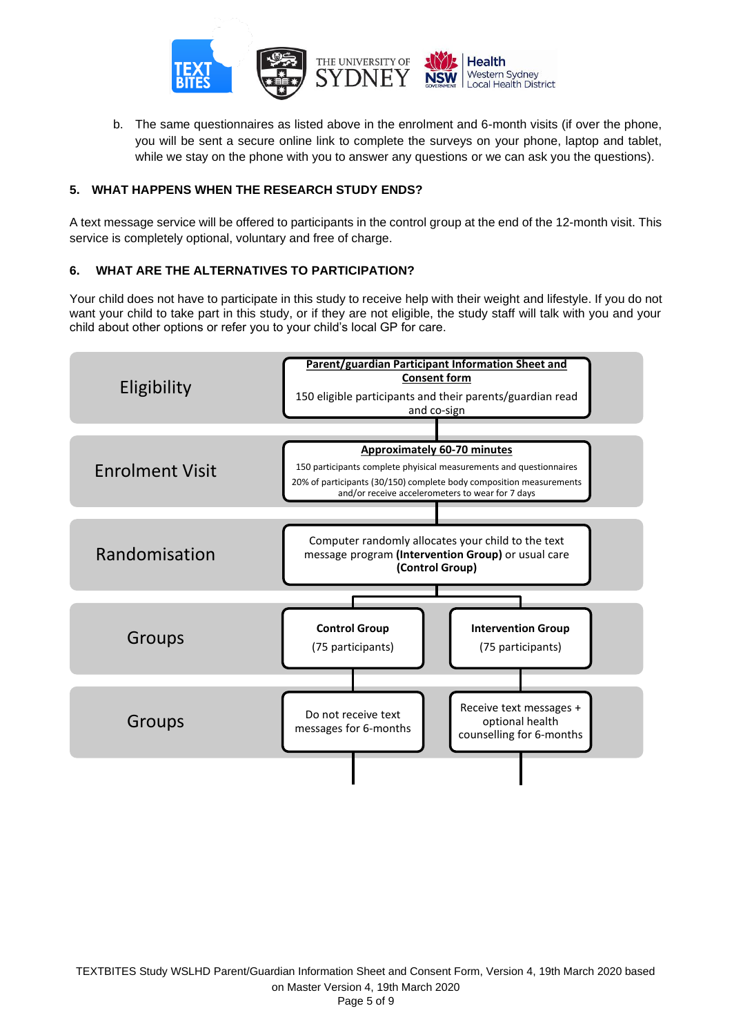

b. The same questionnaires as listed above in the enrolment and 6-month visits (if over the phone, you will be sent a secure online link to complete the surveys on your phone, laptop and tablet, while we stay on the phone with you to answer any questions or we can ask you the questions).

# **5. WHAT HAPPENS WHEN THE RESEARCH STUDY ENDS?**

A text message service will be offered to participants in the control group at the end of the 12-month visit. This service is completely optional, voluntary and free of charge.

## **6. WHAT ARE THE ALTERNATIVES TO PARTICIPATION?**

Your child does not have to participate in this study to receive help with their weight and lifestyle. If you do not want your child to take part in this study, or if they are not eligible, the study staff will talk with you and your child about other options or refer you to your child's local GP for care.

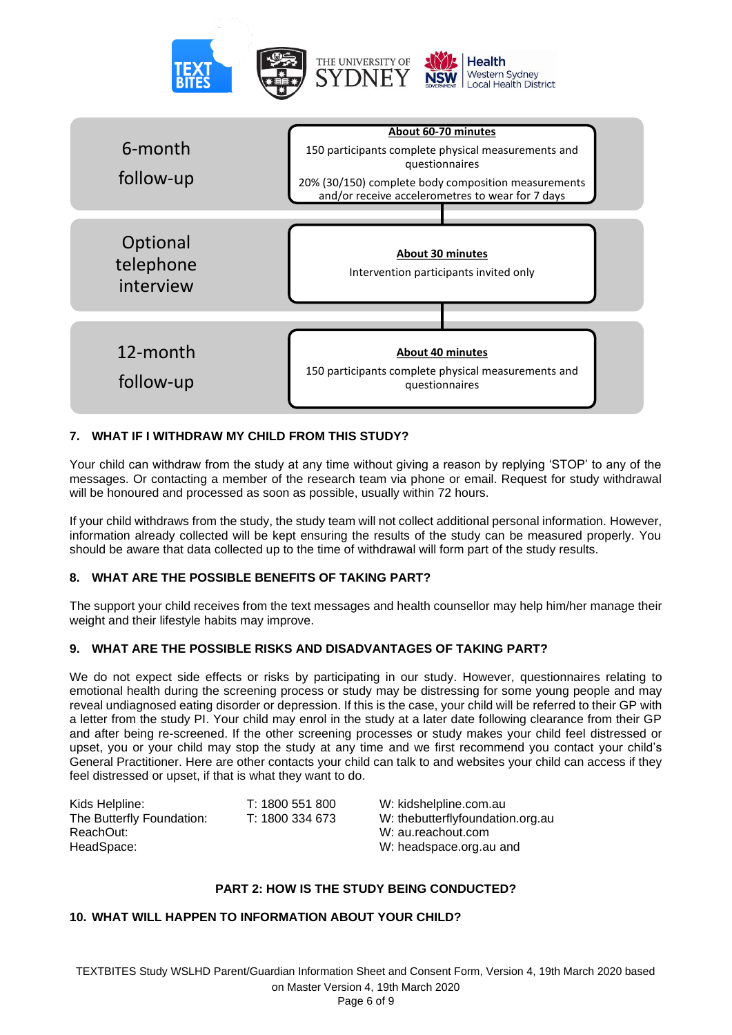



# **7. WHAT IF I WITHDRAW MY CHILD FROM THIS STUDY?**

Your child can withdraw from the study at any time without giving a reason by replying 'STOP' to any of the messages. Or contacting a member of the research team via phone or email. Request for study withdrawal will be honoured and processed as soon as possible, usually within 72 hours.

If your child withdraws from the study, the study team will not collect additional personal information. However, information already collected will be kept ensuring the results of the study can be measured properly. You should be aware that data collected up to the time of withdrawal will form part of the study results.

## **8. WHAT ARE THE POSSIBLE BENEFITS OF TAKING PART?**

The support your child receives from the text messages and health counsellor may help him/her manage their weight and their lifestyle habits may improve.

## **9. WHAT ARE THE POSSIBLE RISKS AND DISADVANTAGES OF TAKING PART?**

We do not expect side effects or risks by participating in our study. However, questionnaires relating to emotional health during the screening process or study may be distressing for some young people and may reveal undiagnosed eating disorder or depression. If this is the case, your child will be referred to their GP with a letter from the study PI. Your child may enrol in the study at a later date following clearance from their GP and after being re-screened. If the other screening processes or study makes your child feel distressed or upset, you or your child may stop the study at any time and we first recommend you contact your child's General Practitioner. Here are other contacts your child can talk to and websites your child can access if they feel distressed or upset, if that is what they want to do.

| Kids Helpline:            | T: 1800 551 800 |
|---------------------------|-----------------|
| The Butterfly Foundation: | T: 1800 334 673 |
| ReachOut:                 |                 |
| HeadSpace:                |                 |

W: kidshelpline.com.au W: the butterfly foundation.org.au W: au.reachout.com W: headspace.org.au and

# **PART 2: HOW IS THE STUDY BEING CONDUCTED?**

## **10. WHAT WILL HAPPEN TO INFORMATION ABOUT YOUR CHILD?**

TEXTBITES Study WSLHD Parent/Guardian Information Sheet and Consent Form, Version 4, 19th March 2020 based on Master Version 4, 19th March 2020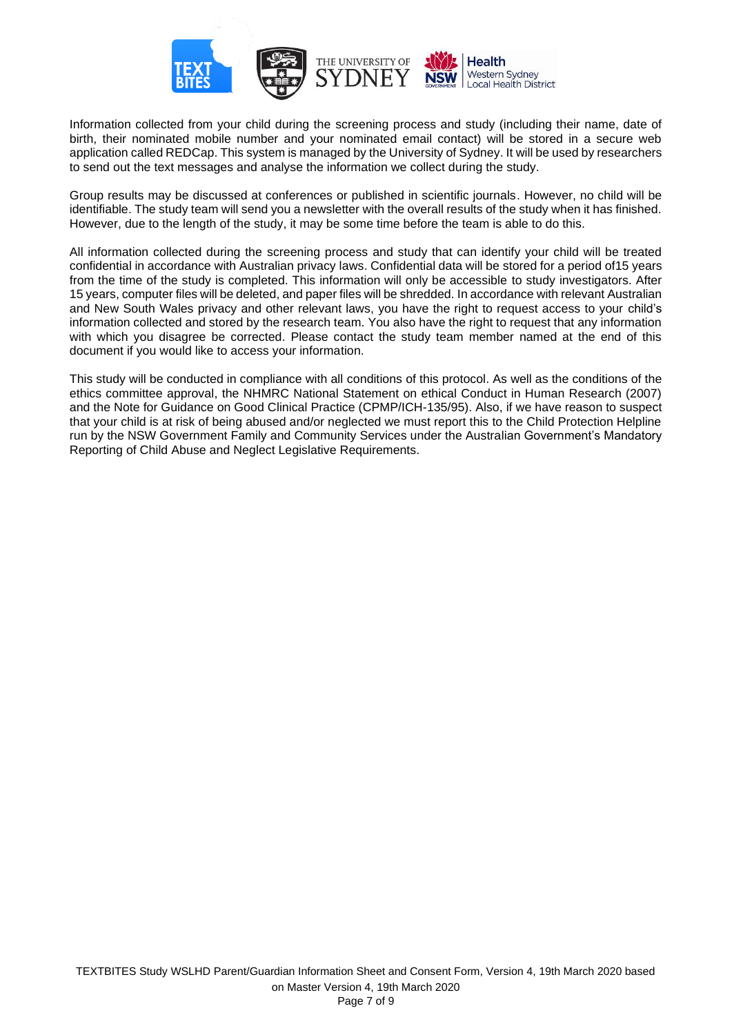

Information collected from your child during the screening process and study (including their name, date of birth, their nominated mobile number and your nominated email contact) will be stored in a secure web application called REDCap. This system is managed by the University of Sydney. It will be used by researchers to send out the text messages and analyse the information we collect during the study.

Group results may be discussed at conferences or published in scientific journals. However, no child will be identifiable. The study team will send you a newsletter with the overall results of the study when it has finished. However, due to the length of the study, it may be some time before the team is able to do this.

All information collected during the screening process and study that can identify your child will be treated confidential in accordance with Australian privacy laws. Confidential data will be stored for a period of15 years from the time of the study is completed. This information will only be accessible to study investigators. After 15 years, computer files will be deleted, and paper files will be shredded. In accordance with relevant Australian and New South Wales privacy and other relevant laws, you have the right to request access to your child's information collected and stored by the research team. You also have the right to request that any information with which you disagree be corrected. Please contact the study team member named at the end of this document if you would like to access your information.

This study will be conducted in compliance with all conditions of this protocol. As well as the conditions of the ethics committee approval, the NHMRC National Statement on ethical Conduct in Human Research (2007) and the Note for Guidance on Good Clinical Practice (CPMP/ICH-135/95). Also, if we have reason to suspect that your child is at risk of being abused and/or neglected we must report this to the Child Protection Helpline run by the NSW Government Family and Community Services under the Australian Government's Mandatory Reporting of Child Abuse and Neglect Legislative Requirements.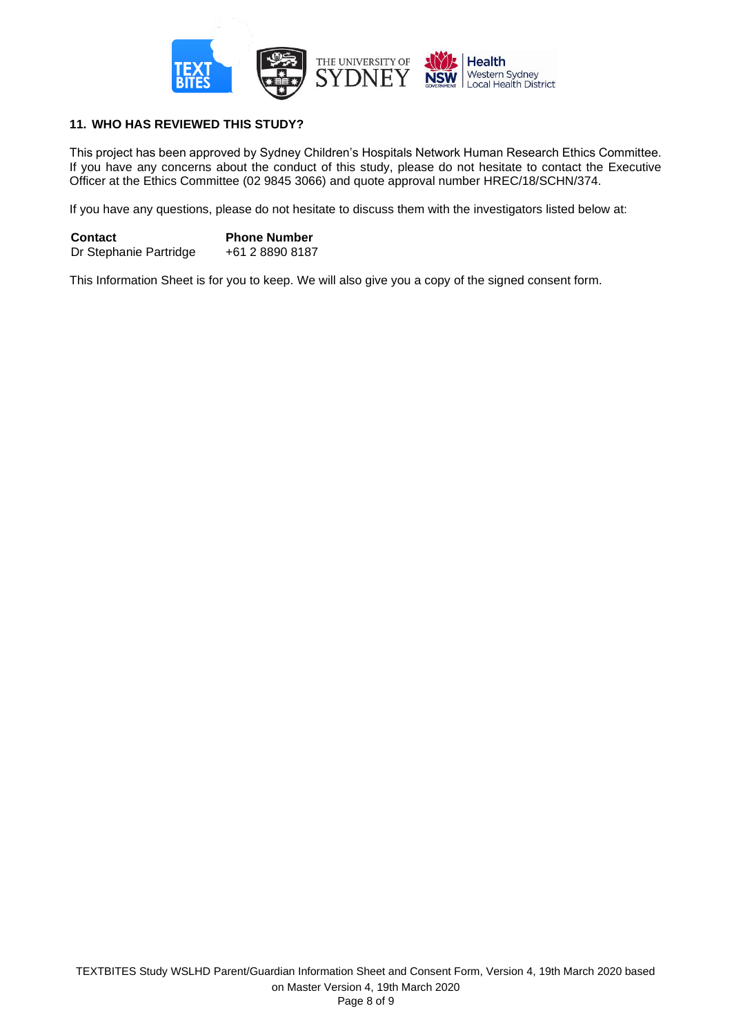

# **11. WHO HAS REVIEWED THIS STUDY?**

This project has been approved by Sydney Children's Hospitals Network Human Research Ethics Committee. If you have any concerns about the conduct of this study, please do not hesitate to contact the Executive Officer at the Ethics Committee (02 9845 3066) and quote approval number HREC/18/SCHN/374.

If you have any questions, please do not hesitate to discuss them with the investigators listed below at:

**Contact Phone Number** Dr Stephanie Partridge +61 2 8890 8187

This Information Sheet is for you to keep. We will also give you a copy of the signed consent form.